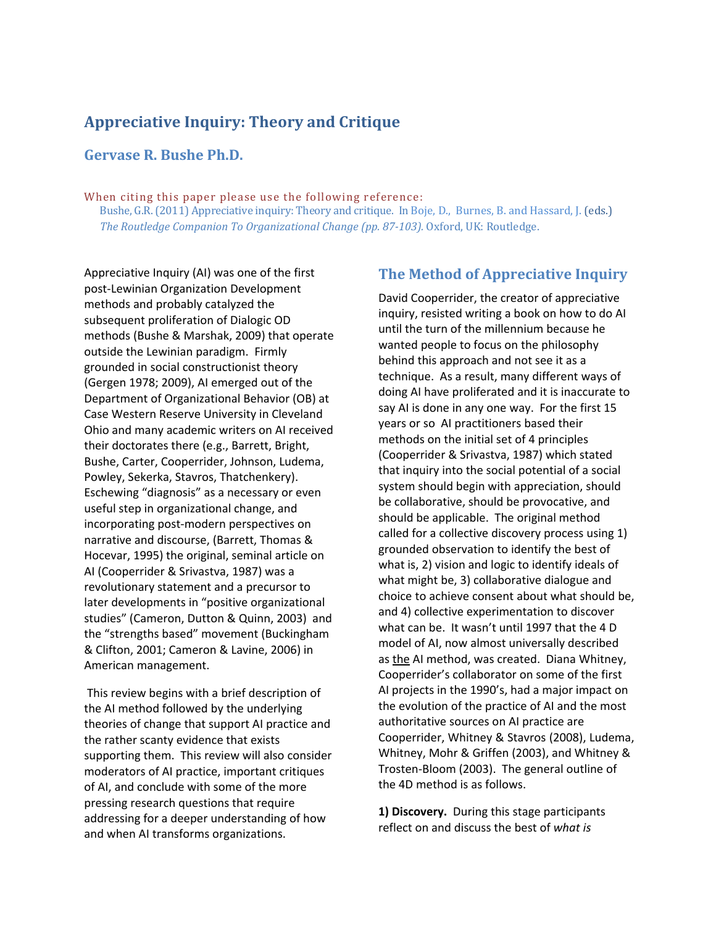# **Appreciative Inquiry: Theory and Critique**

# **Gervase R. Bushe Ph.D.**

When citing this paper please use the following reference:

Bushe, G.R. (2011) Appreciative inquiry: Theory and critique. In Boje, D., Burnes, B. and Hassard, J. (eds.) *The Routledge Companion To Organizational Change (pp. 87103).* Oxford, UK: Routledge.

Appreciative Inquiry (AI) was one of the first post‐Lewinian Organization Development methods and probably catalyzed the subsequent proliferation of Dialogic OD methods (Bushe & Marshak, 2009) that operate outside the Lewinian paradigm. Firmly grounded in social constructionist theory (Gergen 1978; 2009), AI emerged out of the Department of Organizational Behavior (OB) at Case Western Reserve University in Cleveland Ohio and many academic writers on AI received their doctorates there (e.g., Barrett, Bright, Bushe, Carter, Cooperrider, Johnson, Ludema, Powley, Sekerka, Stavros, Thatchenkery). Eschewing "diagnosis" as a necessary or even useful step in organizational change, and incorporating post‐modern perspectives on narrative and discourse, (Barrett, Thomas & Hocevar, 1995) the original, seminal article on AI (Cooperrider & Srivastva, 1987) was a revolutionary statement and a precursor to later developments in "positive organizational studies" (Cameron, Dutton & Quinn, 2003) and the "strengths based" movement (Buckingham & Clifton, 2001; Cameron & Lavine, 2006) in American management.

This review begins with a brief description of the AI method followed by the underlying theories of change that support AI practice and the rather scanty evidence that exists supporting them. This review will also consider moderators of AI practice, important critiques of AI, and conclude with some of the more pressing research questions that require addressing for a deeper understanding of how and when AI transforms organizations.

# **The Method of Appreciative Inquiry**

David Cooperrider, the creator of appreciative inquiry, resisted writing a book on how to do AI until the turn of the millennium because he wanted people to focus on the philosophy behind this approach and not see it as a technique. As a result, many different ways of doing AI have proliferated and it is inaccurate to say AI is done in any one way. For the first 15 years or so AI practitioners based their methods on the initial set of 4 principles (Cooperrider & Srivastva, 1987) which stated that inquiry into the social potential of a social system should begin with appreciation, should be collaborative, should be provocative, and should be applicable. The original method called for a collective discovery process using 1) grounded observation to identify the best of what is, 2) vision and logic to identify ideals of what might be, 3) collaborative dialogue and choice to achieve consent about what should be, and 4) collective experimentation to discover what can be. It wasn't until 1997 that the 4 D model of AI, now almost universally described as the AI method, was created. Diana Whitney, Cooperrider's collaborator on some of the first AI projects in the 1990's, had a major impact on the evolution of the practice of AI and the most authoritative sources on AI practice are Cooperrider, Whitney & Stavros (2008), Ludema, Whitney, Mohr & Griffen (2003), and Whitney & Trosten‐Bloom (2003). The general outline of the 4D method is as follows.

**1) Discovery.** During this stage participants reflect on and discuss the best of *what is*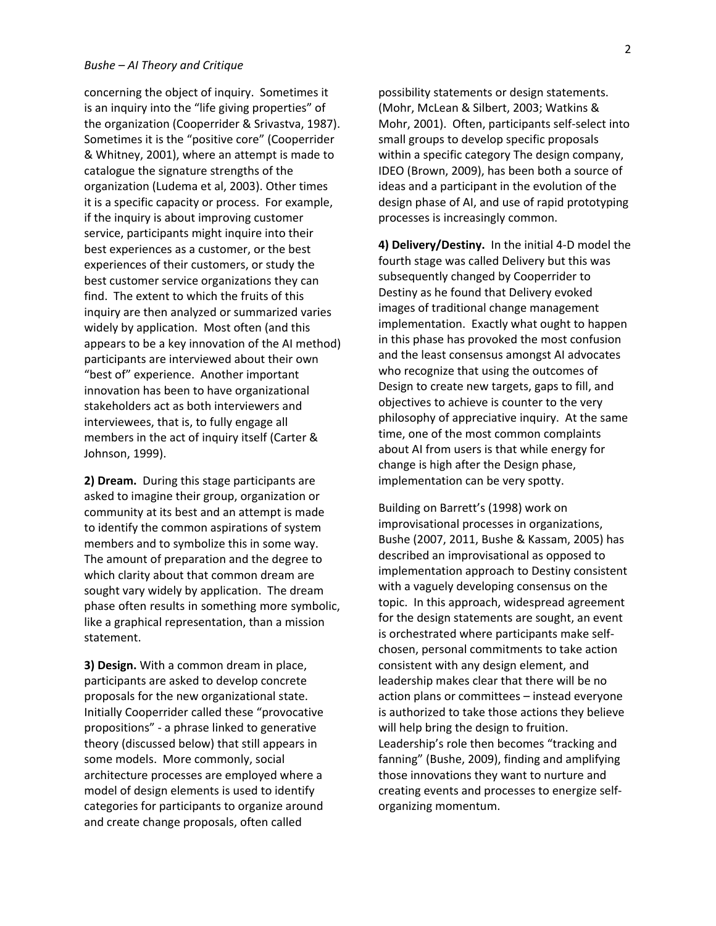concerning the object of inquiry. Sometimes it is an inquiry into the "life giving properties" of the organization (Cooperrider & Srivastva, 1987). Sometimes it is the "positive core" (Cooperrider & Whitney, 2001), where an attempt is made to catalogue the signature strengths of the organization (Ludema et al, 2003). Other times it is a specific capacity or process. For example, if the inquiry is about improving customer service, participants might inquire into their best experiences as a customer, or the best experiences of their customers, or study the best customer service organizations they can find. The extent to which the fruits of this inquiry are then analyzed or summarized varies widely by application. Most often (and this appears to be a key innovation of the AI method) participants are interviewed about their own "best of" experience. Another important innovation has been to have organizational stakeholders act as both interviewers and interviewees, that is, to fully engage all members in the act of inquiry itself (Carter & Johnson, 1999).

**2) Dream.** During this stage participants are asked to imagine their group, organization or community at its best and an attempt is made to identify the common aspirations of system members and to symbolize this in some way. The amount of preparation and the degree to which clarity about that common dream are sought vary widely by application. The dream phase often results in something more symbolic, like a graphical representation, than a mission statement.

**3) Design.** With a common dream in place, participants are asked to develop concrete proposals for the new organizational state. Initially Cooperrider called these "provocative propositions" ‐ a phrase linked to generative theory (discussed below) that still appears in some models. More commonly, social architecture processes are employed where a model of design elements is used to identify categories for participants to organize around and create change proposals, often called

possibility statements or design statements. (Mohr, McLean & Silbert, 2003; Watkins & Mohr, 2001). Often, participants self‐select into small groups to develop specific proposals within a specific category The design company, IDEO (Brown, 2009), has been both a source of ideas and a participant in the evolution of the design phase of AI, and use of rapid prototyping processes is increasingly common.

**4) Delivery/Destiny.** In the initial 4‐D model the fourth stage was called Delivery but this was subsequently changed by Cooperrider to Destiny as he found that Delivery evoked images of traditional change management implementation. Exactly what ought to happen in this phase has provoked the most confusion and the least consensus amongst AI advocates who recognize that using the outcomes of Design to create new targets, gaps to fill, and objectives to achieve is counter to the very philosophy of appreciative inquiry. At the same time, one of the most common complaints about AI from users is that while energy for change is high after the Design phase, implementation can be very spotty.

Building on Barrett's (1998) work on improvisational processes in organizations, Bushe (2007, 2011, Bushe & Kassam, 2005) has described an improvisational as opposed to implementation approach to Destiny consistent with a vaguely developing consensus on the topic. In this approach, widespread agreement for the design statements are sought, an event is orchestrated where participants make self‐ chosen, personal commitments to take action consistent with any design element, and leadership makes clear that there will be no action plans or committees – instead everyone is authorized to take those actions they believe will help bring the design to fruition. Leadership's role then becomes "tracking and fanning" (Bushe, 2009), finding and amplifying those innovations they want to nurture and creating events and processes to energize self‐ organizing momentum.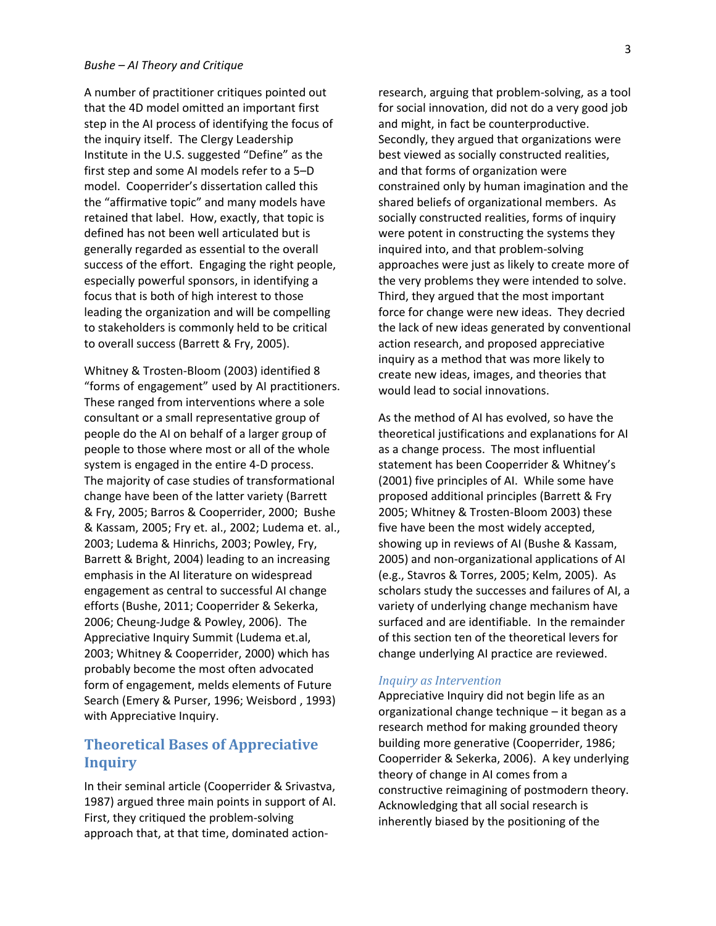A number of practitioner critiques pointed out that the 4D model omitted an important first step in the AI process of identifying the focus of the inquiry itself. The Clergy Leadership Institute in the U.S. suggested "Define" as the first step and some AI models refer to a 5–D model. Cooperrider's dissertation called this the "affirmative topic" and many models have retained that label. How, exactly, that topic is defined has not been well articulated but is generally regarded as essential to the overall success of the effort. Engaging the right people, especially powerful sponsors, in identifying a focus that is both of high interest to those leading the organization and will be compelling to stakeholders is commonly held to be critical to overall success (Barrett & Fry, 2005).

Whitney & Trosten‐Bloom (2003) identified 8 "forms of engagement" used by AI practitioners. These ranged from interventions where a sole consultant or a small representative group of people do the AI on behalf of a larger group of people to those where most or all of the whole system is engaged in the entire 4‐D process. The majority of case studies of transformational change have been of the latter variety (Barrett & Fry, 2005; Barros & Cooperrider, 2000; Bushe & Kassam, 2005; Fry et. al., 2002; Ludema et. al., 2003; Ludema & Hinrichs, 2003; Powley, Fry, Barrett & Bright, 2004) leading to an increasing emphasis in the AI literature on widespread engagement as central to successful AI change efforts (Bushe, 2011; Cooperrider & Sekerka, 2006; Cheung‐Judge & Powley, 2006). The Appreciative Inquiry Summit (Ludema et.al, 2003; Whitney & Cooperrider, 2000) which has probably become the most often advocated form of engagement, melds elements of Future Search (Emery & Purser, 1996; Weisbord , 1993) with Appreciative Inquiry.

# **Theoretical Bases of Appreciative Inquiry**

In their seminal article (Cooperrider & Srivastva, 1987) argued three main points in support of AI. First, they critiqued the problem‐solving approach that, at that time, dominated action‐

research, arguing that problem‐solving, as a tool for social innovation, did not do a very good job and might, in fact be counterproductive. Secondly, they argued that organizations were best viewed as socially constructed realities, and that forms of organization were constrained only by human imagination and the shared beliefs of organizational members. As socially constructed realities, forms of inquiry were potent in constructing the systems they inquired into, and that problem‐solving approaches were just as likely to create more of the very problems they were intended to solve. Third, they argued that the most important force for change were new ideas. They decried the lack of new ideas generated by conventional action research, and proposed appreciative inquiry as a method that was more likely to create new ideas, images, and theories that would lead to social innovations.

As the method of AI has evolved, so have the theoretical justifications and explanations for AI as a change process. The most influential statement has been Cooperrider & Whitney's (2001) five principles of AI. While some have proposed additional principles (Barrett & Fry 2005; Whitney & Trosten‐Bloom 2003) these five have been the most widely accepted, showing up in reviews of AI (Bushe & Kassam, 2005) and non‐organizational applications of AI (e.g., Stavros & Torres, 2005; Kelm, 2005). As scholars study the successes and failures of AI, a variety of underlying change mechanism have surfaced and are identifiable. In the remainder of this section ten of the theoretical levers for change underlying AI practice are reviewed.

## *Inquiry as Intervention*

Appreciative Inquiry did not begin life as an organizational change technique – it began as a research method for making grounded theory building more generative (Cooperrider, 1986; Cooperrider & Sekerka, 2006). A key underlying theory of change in AI comes from a constructive reimagining of postmodern theory. Acknowledging that all social research is inherently biased by the positioning of the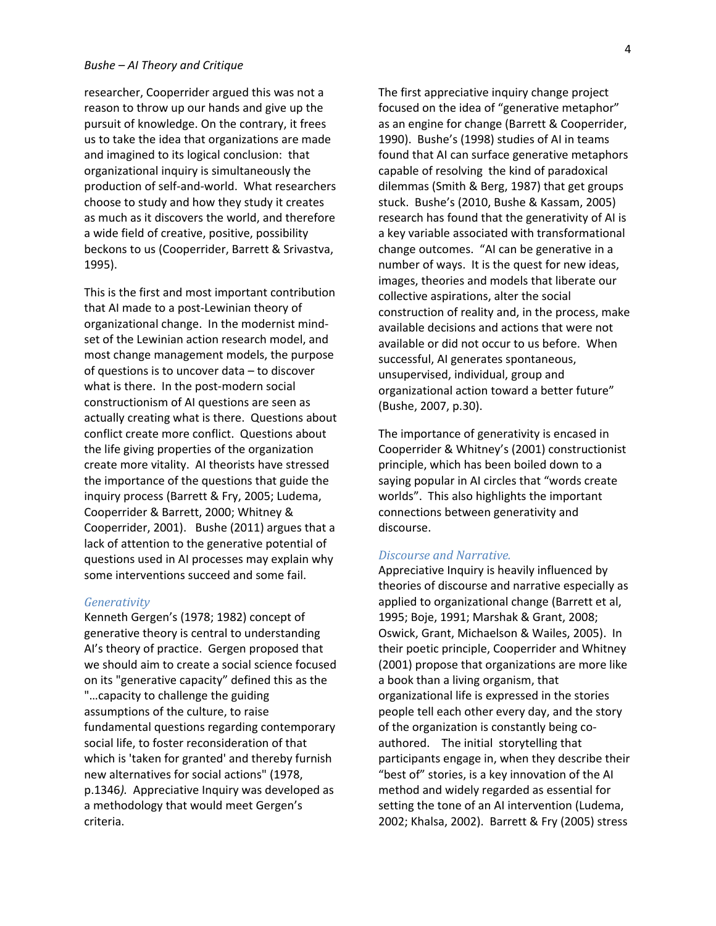researcher, Cooperrider argued this was not a reason to throw up our hands and give up the pursuit of knowledge. On the contrary, it frees us to take the idea that organizations are made and imagined to its logical conclusion: that organizational inquiry is simultaneously the production of self‐and‐world. What researchers choose to study and how they study it creates as much as it discovers the world, and therefore a wide field of creative, positive, possibility beckons to us (Cooperrider, Barrett & Srivastva, 1995).

This is the first and most important contribution that AI made to a post‐Lewinian theory of organizational change. In the modernist mind‐ set of the Lewinian action research model, and most change management models, the purpose of questions is to uncover data – to discover what is there. In the post-modern social constructionism of AI questions are seen as actually creating what is there. Questions about conflict create more conflict. Questions about the life giving properties of the organization create more vitality. AI theorists have stressed the importance of the questions that guide the inquiry process (Barrett & Fry, 2005; Ludema, Cooperrider & Barrett, 2000; Whitney & Cooperrider, 2001). Bushe (2011) argues that a lack of attention to the generative potential of questions used in AI processes may explain why some interventions succeed and some fail.

#### *Generativity*

Kenneth Gergen's (1978; 1982) concept of generative theory is central to understanding AI's theory of practice. Gergen proposed that we should aim to create a social science focused on its "generative capacity" defined this as the "…capacity to challenge the guiding assumptions of the culture, to raise fundamental questions regarding contemporary social life, to foster reconsideration of that which is 'taken for granted' and thereby furnish new alternatives for social actions" (1978, p.1346*).* Appreciative Inquiry was developed as a methodology that would meet Gergen's criteria.

The first appreciative inquiry change project focused on the idea of "generative metaphor" as an engine for change (Barrett & Cooperrider, 1990). Bushe's (1998) studies of AI in teams found that AI can surface generative metaphors capable of resolving the kind of paradoxical dilemmas (Smith & Berg, 1987) that get groups stuck. Bushe's (2010, Bushe & Kassam, 2005) research has found that the generativity of AI is a key variable associated with transformational change outcomes. "AI can be generative in a number of ways. It is the quest for new ideas, images, theories and models that liberate our collective aspirations, alter the social construction of reality and, in the process, make available decisions and actions that were not available or did not occur to us before. When successful, AI generates spontaneous, unsupervised, individual, group and organizational action toward a better future" (Bushe, 2007, p.30).

The importance of generativity is encased in Cooperrider & Whitney's (2001) constructionist principle, which has been boiled down to a saying popular in AI circles that "words create worlds". This also highlights the important connections between generativity and discourse.

## *Discourse and Narrative.*

Appreciative Inquiry is heavily influenced by theories of discourse and narrative especially as applied to organizational change (Barrett et al, 1995; Boje, 1991; Marshak & Grant, 2008; Oswick, Grant, Michaelson & Wailes, 2005). In their poetic principle, Cooperrider and Whitney (2001) propose that organizations are more like a book than a living organism, that organizational life is expressed in the stories people tell each other every day, and the story of the organization is constantly being co‐ authored. The initial storytelling that participants engage in, when they describe their "best of" stories, is a key innovation of the AI method and widely regarded as essential for setting the tone of an AI intervention (Ludema, 2002; Khalsa, 2002). Barrett & Fry (2005) stress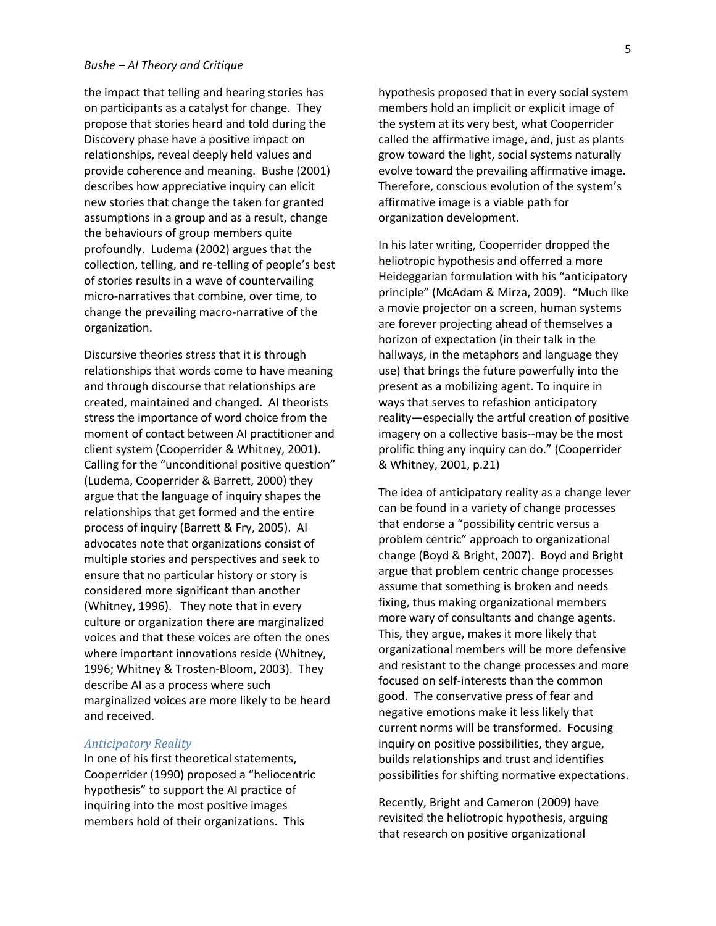the impact that telling and hearing stories has on participants as a catalyst for change. They propose that stories heard and told during the Discovery phase have a positive impact on relationships, reveal deeply held values and provide coherence and meaning. Bushe (2001) describes how appreciative inquiry can elicit new stories that change the taken for granted assumptions in a group and as a result, change the behaviours of group members quite profoundly. Ludema (2002) argues that the collection, telling, and re‐telling of people's best of stories results in a wave of countervailing micro‐narratives that combine, over time, to change the prevailing macro‐narrative of the organization.

Discursive theories stress that it is through relationships that words come to have meaning and through discourse that relationships are created, maintained and changed. AI theorists stress the importance of word choice from the moment of contact between AI practitioner and client system (Cooperrider & Whitney, 2001). Calling for the "unconditional positive question" (Ludema, Cooperrider & Barrett, 2000) they argue that the language of inquiry shapes the relationships that get formed and the entire process of inquiry (Barrett & Fry, 2005). AI advocates note that organizations consist of multiple stories and perspectives and seek to ensure that no particular history or story is considered more significant than another (Whitney, 1996). They note that in every culture or organization there are marginalized voices and that these voices are often the ones where important innovations reside (Whitney, 1996; Whitney & Trosten‐Bloom, 2003). They describe AI as a process where such marginalized voices are more likely to be heard and received.

#### *Anticipatory Reality*

In one of his first theoretical statements, Cooperrider (1990) proposed a "heliocentric hypothesis" to support the AI practice of inquiring into the most positive images members hold of their organizations. This

hypothesis proposed that in every social system members hold an implicit or explicit image of the system at its very best, what Cooperrider called the affirmative image, and, just as plants grow toward the light, social systems naturally evolve toward the prevailing affirmative image. Therefore, conscious evolution of the system's affirmative image is a viable path for organization development.

In his later writing, Cooperrider dropped the heliotropic hypothesis and offerred a more Heideggarian formulation with his "anticipatory principle" (McAdam & Mirza, 2009). "Much like a movie projector on a screen, human systems are forever projecting ahead of themselves a horizon of expectation (in their talk in the hallways, in the metaphors and language they use) that brings the future powerfully into the present as a mobilizing agent. To inquire in ways that serves to refashion anticipatory reality—especially the artful creation of positive imagery on a collective basis‐‐may be the most prolific thing any inquiry can do." (Cooperrider & Whitney, 2001, p.21)

The idea of anticipatory reality as a change lever can be found in a variety of change processes that endorse a "possibility centric versus a problem centric" approach to organizational change (Boyd & Bright, 2007). Boyd and Bright argue that problem centric change processes assume that something is broken and needs fixing, thus making organizational members more wary of consultants and change agents. This, they argue, makes it more likely that organizational members will be more defensive and resistant to the change processes and more focused on self‐interests than the common good. The conservative press of fear and negative emotions make it less likely that current norms will be transformed. Focusing inquiry on positive possibilities, they argue, builds relationships and trust and identifies possibilities for shifting normative expectations.

Recently, Bright and Cameron (2009) have revisited the heliotropic hypothesis, arguing that research on positive organizational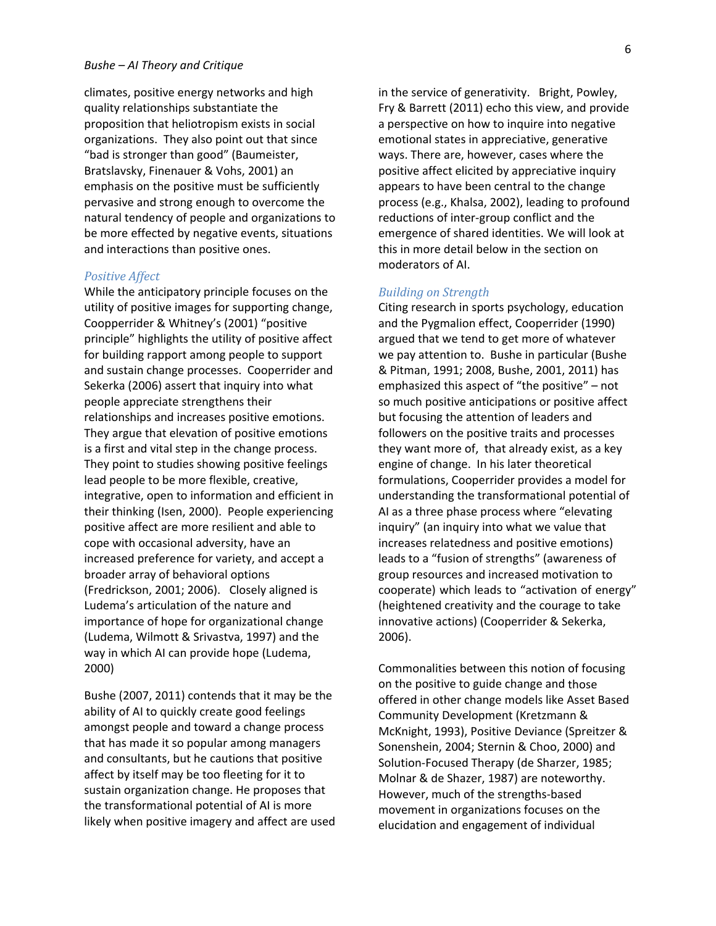climates, positive energy networks and high quality relationships substantiate the proposition that heliotropism exists in social organizations. They also point out that since "bad is stronger than good" (Baumeister, Bratslavsky, Finenauer & Vohs, 2001) an emphasis on the positive must be sufficiently pervasive and strong enough to overcome the natural tendency of people and organizations to be more effected by negative events, situations and interactions than positive ones.

## *Positive Affect*

While the anticipatory principle focuses on the utility of positive images for supporting change, Coopperrider & Whitney's (2001) "positive principle" highlights the utility of positive affect for building rapport among people to support and sustain change processes. Cooperrider and Sekerka (2006) assert that inquiry into what people appreciate strengthens their relationships and increases positive emotions. They argue that elevation of positive emotions is a first and vital step in the change process. They point to studies showing positive feelings lead people to be more flexible, creative, integrative, open to information and efficient in their thinking (Isen, 2000). People experiencing positive affect are more resilient and able to cope with occasional adversity, have an increased preference for variety, and accept a broader array of behavioral options (Fredrickson, 2001; 2006). Closely aligned is Ludema's articulation of the nature and importance of hope for organizational change (Ludema, Wilmott & Srivastva, 1997) and the way in which AI can provide hope (Ludema, 2000)

Bushe (2007, 2011) contends that it may be the ability of AI to quickly create good feelings amongst people and toward a change process that has made it so popular among managers and consultants, but he cautions that positive affect by itself may be too fleeting for it to sustain organization change. He proposes that the transformational potential of AI is more likely when positive imagery and affect are used

in the service of generativity. Bright, Powley, Fry & Barrett (2011) echo this view, and provide a perspective on how to inquire into negative emotional states in appreciative, generative ways. There are, however, cases where the positive affect elicited by appreciative inquiry appears to have been central to the change process (e.g., Khalsa, 2002), leading to profound reductions of inter‐group conflict and the emergence of shared identities. We will look at this in more detail below in the section on moderators of AI.

#### *Building on Strength*

Citing research in sports psychology, education and the Pygmalion effect, Cooperrider (1990) argued that we tend to get more of whatever we pay attention to. Bushe in particular (Bushe & Pitman, 1991; 2008, Bushe, 2001, 2011) has emphasized this aspect of "the positive" – not so much positive anticipations or positive affect but focusing the attention of leaders and followers on the positive traits and processes they want more of, that already exist, as a key engine of change. In his later theoretical formulations, Cooperrider provides a model for understanding the transformational potential of AI as a three phase process where "elevating inquiry" (an inquiry into what we value that increases relatedness and positive emotions) leads to a "fusion of strengths" (awareness of group resources and increased motivation to cooperate) which leads to "activation of energy" (heightened creativity and the courage to take innovative actions) (Cooperrider & Sekerka, 2006).

Commonalities between this notion of focusing on the positive to guide change and those offered in other change models like Asset Based Community Development (Kretzmann & McKnight, 1993), Positive Deviance (Spreitzer & Sonenshein, 2004; Sternin & Choo, 2000) and Solution‐Focused Therapy (de Sharzer, 1985; Molnar & de Shazer, 1987) are noteworthy. However, much of the strengths‐based movement in organizations focuses on the elucidation and engagement of individual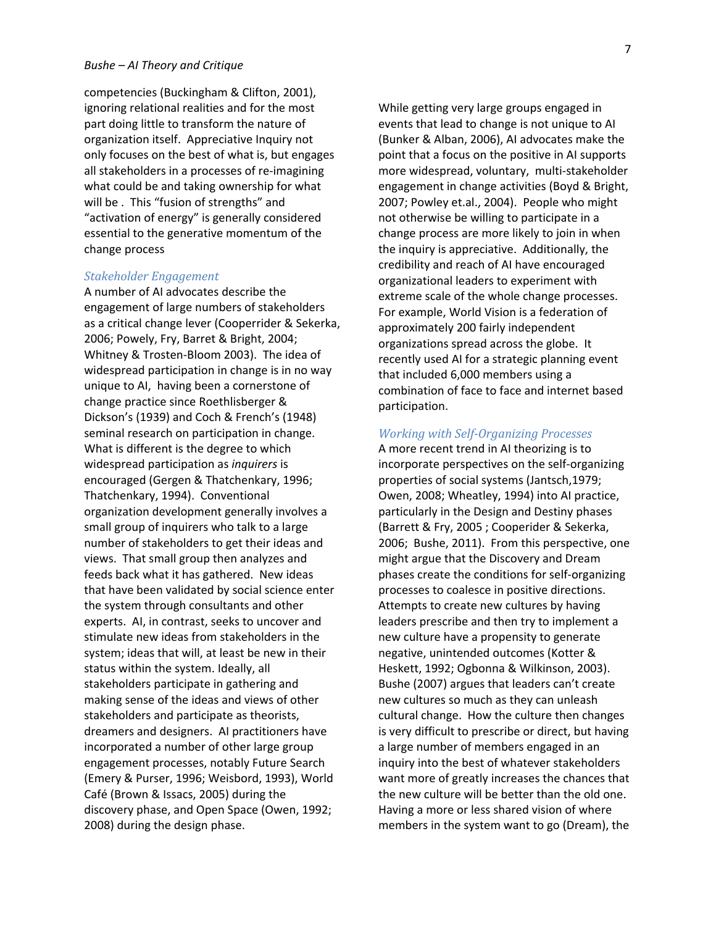competencies (Buckingham & Clifton, 2001), ignoring relational realities and for the most part doing little to transform the nature of organization itself. Appreciative Inquiry not only focuses on the best of what is, but engages all stakeholders in a processes of re‐imagining what could be and taking ownership for what will be . This "fusion of strengths" and "activation of energy" is generally considered essential to the generative momentum of the change process

### *Stakeholder Engagement*

A number of AI advocates describe the engagement of large numbers of stakeholders as a critical change lever (Cooperrider & Sekerka, 2006; Powely, Fry, Barret & Bright, 2004; Whitney & Trosten‐Bloom 2003). The idea of widespread participation in change is in no way unique to AI, having been a cornerstone of change practice since Roethlisberger & Dickson's (1939) and Coch & French's (1948) seminal research on participation in change. What is different is the degree to which widespread participation as *inquirers* is encouraged (Gergen & Thatchenkary, 1996; Thatchenkary, 1994). Conventional organization development generally involves a small group of inquirers who talk to a large number of stakeholders to get their ideas and views. That small group then analyzes and feeds back what it has gathered. New ideas that have been validated by social science enter the system through consultants and other experts. AI, in contrast, seeks to uncover and stimulate new ideas from stakeholders in the system; ideas that will, at least be new in their status within the system. Ideally, all stakeholders participate in gathering and making sense of the ideas and views of other stakeholders and participate as theorists, dreamers and designers. AI practitioners have incorporated a number of other large group engagement processes, notably Future Search (Emery & Purser, 1996; Weisbord, 1993), World Café (Brown & Issacs, 2005) during the discovery phase, and Open Space (Owen, 1992; 2008) during the design phase.

While getting very large groups engaged in events that lead to change is not unique to AI (Bunker & Alban, 2006), AI advocates make the point that a focus on the positive in AI supports more widespread, voluntary, multi‐stakeholder engagement in change activities (Boyd & Bright, 2007; Powley et.al., 2004). People who might not otherwise be willing to participate in a change process are more likely to join in when the inquiry is appreciative. Additionally, the credibility and reach of AI have encouraged organizational leaders to experiment with extreme scale of the whole change processes. For example, World Vision is a federation of approximately 200 fairly independent organizations spread across the globe. It recently used AI for a strategic planning event that included 6,000 members using a combination of face to face and internet based participation.

## *Working with SelfOrganizing Processes*

A more recent trend in AI theorizing is to incorporate perspectives on the self‐organizing properties of social systems (Jantsch,1979; Owen, 2008; Wheatley, 1994) into AI practice, particularly in the Design and Destiny phases (Barrett & Fry, 2005 ; Cooperider & Sekerka, 2006; Bushe, 2011). From this perspective, one might argue that the Discovery and Dream phases create the conditions for self‐organizing processes to coalesce in positive directions. Attempts to create new cultures by having leaders prescribe and then try to implement a new culture have a propensity to generate negative, unintended outcomes (Kotter & Heskett, 1992; Ogbonna & Wilkinson, 2003). Bushe (2007) argues that leaders can't create new cultures so much as they can unleash cultural change. How the culture then changes is very difficult to prescribe or direct, but having a large number of members engaged in an inquiry into the best of whatever stakeholders want more of greatly increases the chances that the new culture will be better than the old one. Having a more or less shared vision of where members in the system want to go (Dream), the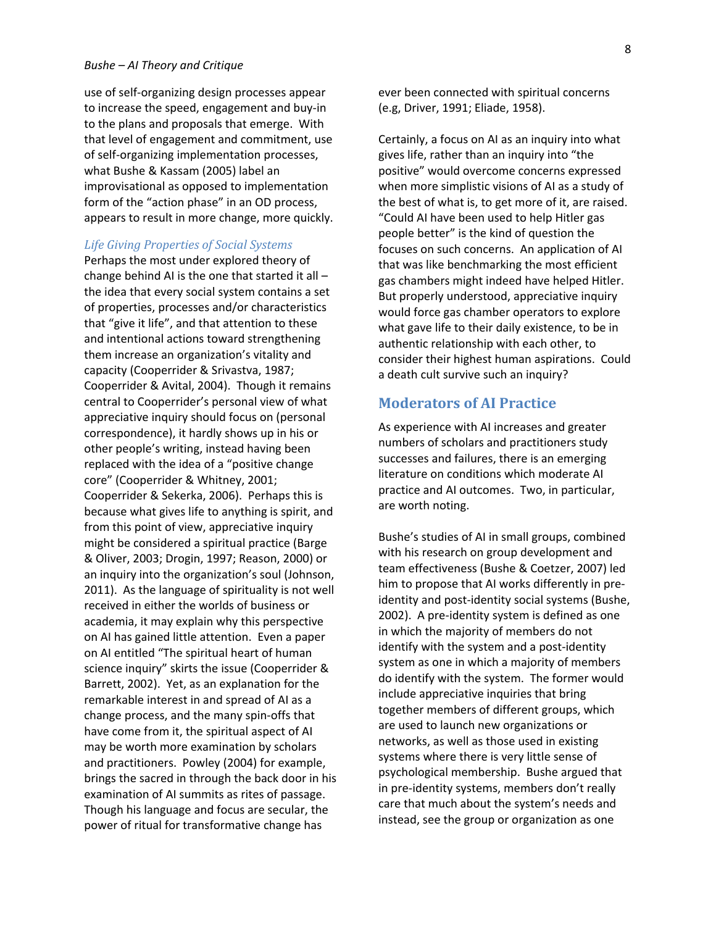use of self‐organizing design processes appear to increase the speed, engagement and buy‐in to the plans and proposals that emerge. With that level of engagement and commitment, use of self‐organizing implementation processes, what Bushe & Kassam (2005) label an improvisational as opposed to implementation form of the "action phase" in an OD process, appears to result in more change, more quickly.

## *Life Giving Properties of Social Systems*

Perhaps the most under explored theory of change behind AI is the one that started it all – the idea that every social system contains a set of properties, processes and/or characteristics that "give it life", and that attention to these and intentional actions toward strengthening them increase an organization's vitality and capacity (Cooperrider & Srivastva, 1987; Cooperrider & Avital, 2004). Though it remains central to Cooperrider's personal view of what appreciative inquiry should focus on (personal correspondence), it hardly shows up in his or other people's writing, instead having been replaced with the idea of a "positive change core" (Cooperrider & Whitney, 2001; Cooperrider & Sekerka, 2006). Perhaps this is because what gives life to anything is spirit, and from this point of view, appreciative inquiry might be considered a spiritual practice (Barge & Oliver, 2003; Drogin, 1997; Reason, 2000) or an inquiry into the organization's soul (Johnson, 2011). As the language of spirituality is not well received in either the worlds of business or academia, it may explain why this perspective on AI has gained little attention. Even a paper on AI entitled "The spiritual heart of human science inquiry" skirts the issue (Cooperrider & Barrett, 2002). Yet, as an explanation for the remarkable interest in and spread of AI as a change process, and the many spin‐offs that have come from it, the spiritual aspect of AI may be worth more examination by scholars and practitioners. Powley (2004) for example, brings the sacred in through the back door in his examination of AI summits as rites of passage. Though his language and focus are secular, the power of ritual for transformative change has

ever been connected with spiritual concerns (e.g, Driver, 1991; Eliade, 1958).

Certainly, a focus on AI as an inquiry into what gives life, rather than an inquiry into "the positive" would overcome concerns expressed when more simplistic visions of AI as a study of the best of what is, to get more of it, are raised. "Could AI have been used to help Hitler gas people better" is the kind of question the focuses on such concerns. An application of AI that was like benchmarking the most efficient gas chambers might indeed have helped Hitler. But properly understood, appreciative inquiry would force gas chamber operators to explore what gave life to their daily existence, to be in authentic relationship with each other, to consider their highest human aspirations. Could a death cult survive such an inquiry?

## **Moderators of AI Practice**

As experience with AI increases and greater numbers of scholars and practitioners study successes and failures, there is an emerging literature on conditions which moderate AI practice and AI outcomes. Two, in particular, are worth noting.

Bushe's studies of AI in small groups, combined with his research on group development and team effectiveness (Bushe & Coetzer, 2007) led him to propose that AI works differently in pre‐ identity and post‐identity social systems (Bushe, 2002). A pre‐identity system is defined as one in which the majority of members do not identify with the system and a post‐identity system as one in which a majority of members do identify with the system. The former would include appreciative inquiries that bring together members of different groups, which are used to launch new organizations or networks, as well as those used in existing systems where there is very little sense of psychological membership. Bushe argued that in pre‐identity systems, members don't really care that much about the system's needs and instead, see the group or organization as one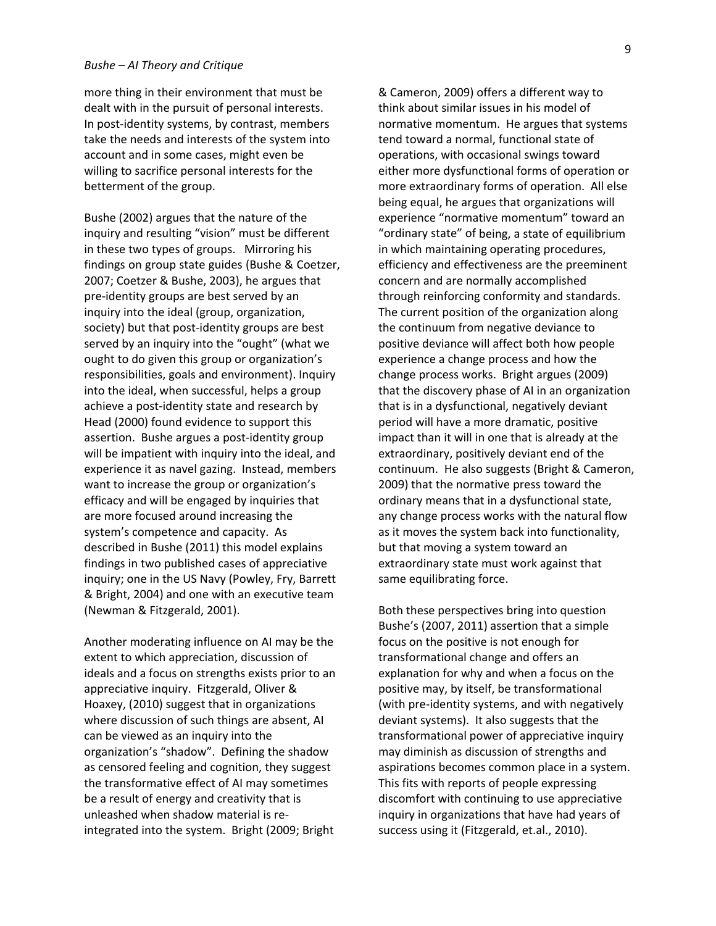more thing in their environment that must be dealt with in the pursuit of personal interests. In post‐identity systems, by contrast, members take the needs and interests of the system into account and in some cases, might even be willing to sacrifice personal interests for the betterment of the group.

Bushe (2002) argues that the nature of the inquiry and resulting "vision" must be different in these two types of groups. Mirroring his findings on group state guides (Bushe & Coetzer, 2007; Coetzer & Bushe, 2003), he argues that pre‐identity groups are best served by an inquiry into the ideal (group, organization, society) but that post-identity groups are best served by an inquiry into the "ought" (what we ought to do given this group or organization's responsibilities, goals and environment). Inquiry into the ideal, when successful, helps a group achieve a post‐identity state and research by Head (2000) found evidence to support this assertion. Bushe argues a post-identity group will be impatient with inquiry into the ideal, and experience it as navel gazing. Instead, members want to increase the group or organization's efficacy and will be engaged by inquiries that are more focused around increasing the system's competence and capacity. As described in Bushe (2011) this model explains findings in two published cases of appreciative inquiry; one in the US Navy (Powley, Fry, Barrett & Bright, 2004) and one with an executive team (Newman & Fitzgerald, 2001).

Another moderating influence on AI may be the extent to which appreciation, discussion of ideals and a focus on strengths exists prior to an appreciative inquiry. Fitzgerald, Oliver & Hoaxey, (2010) suggest that in organizations where discussion of such things are absent, AI can be viewed as an inquiry into the organization's "shadow". Defining the shadow as censored feeling and cognition, they suggest the transformative effect of AI may sometimes be a result of energy and creativity that is unleashed when shadow material is re‐ integrated into the system. Bright (2009; Bright

& Cameron, 2009) offers a different way to think about similar issues in his model of normative momentum. He argues that systems tend toward a normal, functional state of operations, with occasional swings toward either more dysfunctional forms of operation or more extraordinary forms of operation. All else being equal, he argues that organizations will experience "normative momentum" toward an "ordinary state" of being, a state of equilibrium in which maintaining operating procedures, efficiency and effectiveness are the preeminent concern and are normally accomplished through reinforcing conformity and standards. The current position of the organization along the continuum from negative deviance to positive deviance will affect both how people experience a change process and how the change process works. Bright argues (2009) that the discovery phase of AI in an organization that is in a dysfunctional, negatively deviant period will have a more dramatic, positive impact than it will in one that is already at the extraordinary, positively deviant end of the continuum. He also suggests (Bright & Cameron, 2009) that the normative press toward the ordinary means that in a dysfunctional state, any change process works with the natural flow as it moves the system back into functionality, but that moving a system toward an extraordinary state must work against that same equilibrating force.

Both these perspectives bring into question Bushe's (2007, 2011) assertion that a simple focus on the positive is not enough for transformational change and offers an explanation for why and when a focus on the positive may, by itself, be transformational (with pre‐identity systems, and with negatively deviant systems). It also suggests that the transformational power of appreciative inquiry may diminish as discussion of strengths and aspirations becomes common place in a system. This fits with reports of people expressing discomfort with continuing to use appreciative inquiry in organizations that have had years of success using it (Fitzgerald, et.al., 2010).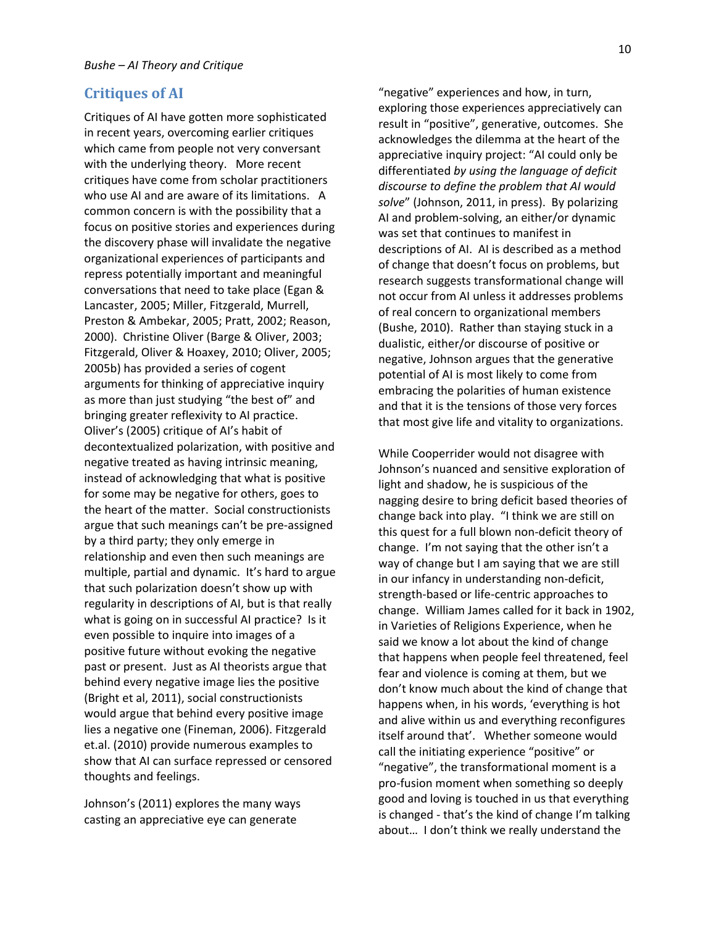## **Critiques of AI**

Critiques of AI have gotten more sophisticated in recent years, overcoming earlier critiques which came from people not very conversant with the underlying theory. More recent critiques have come from scholar practitioners who use AI and are aware of its limitations. A common concern is with the possibility that a focus on positive stories and experiences during the discovery phase will invalidate the negative organizational experiences of participants and repress potentially important and meaningful conversations that need to take place (Egan & Lancaster, 2005; Miller, Fitzgerald, Murrell, Preston & Ambekar, 2005; Pratt, 2002; Reason, 2000). Christine Oliver (Barge & Oliver, 2003; Fitzgerald, Oliver & Hoaxey, 2010; Oliver, 2005; 2005b) has provided a series of cogent arguments for thinking of appreciative inquiry as more than just studying "the best of" and bringing greater reflexivity to AI practice. Oliver's (2005) critique of AI's habit of decontextualized polarization, with positive and negative treated as having intrinsic meaning, instead of acknowledging that what is positive for some may be negative for others, goes to the heart of the matter. Social constructionists argue that such meanings can't be pre‐assigned by a third party; they only emerge in relationship and even then such meanings are multiple, partial and dynamic. It's hard to argue that such polarization doesn't show up with regularity in descriptions of AI, but is that really what is going on in successful AI practice? Is it even possible to inquire into images of a positive future without evoking the negative past or present. Just as AI theorists argue that behind every negative image lies the positive (Bright et al, 2011), social constructionists would argue that behind every positive image lies a negative one (Fineman, 2006). Fitzgerald et.al. (2010) provide numerous examples to show that AI can surface repressed or censored thoughts and feelings.

Johnson's (2011) explores the many ways casting an appreciative eye can generate

"negative" experiences and how, in turn, exploring those experiences appreciatively can result in "positive", generative, outcomes. She acknowledges the dilemma at the heart of the appreciative inquiry project: "AI could only be differentiated *by using the language of deficit discourse to define the problem that AI would solve*" (Johnson, 2011, in press). By polarizing AI and problem‐solving, an either/or dynamic was set that continues to manifest in descriptions of AI. AI is described as a method of change that doesn't focus on problems, but research suggests transformational change will not occur from AI unless it addresses problems of real concern to organizational members (Bushe, 2010). Rather than staying stuck in a dualistic, either/or discourse of positive or negative, Johnson argues that the generative potential of AI is most likely to come from embracing the polarities of human existence and that it is the tensions of those very forces that most give life and vitality to organizations.

While Cooperrider would not disagree with Johnson's nuanced and sensitive exploration of light and shadow, he is suspicious of the nagging desire to bring deficit based theories of change back into play. "I think we are still on this quest for a full blown non‐deficit theory of change. I'm not saying that the other isn't a way of change but I am saying that we are still in our infancy in understanding non‐deficit, strength‐based or life‐centric approaches to change. William James called for it back in 1902, in Varieties of Religions Experience, when he said we know a lot about the kind of change that happens when people feel threatened, feel fear and violence is coming at them, but we don't know much about the kind of change that happens when, in his words, 'everything is hot and alive within us and everything reconfigures itself around that'. Whether someone would call the initiating experience "positive" or "negative", the transformational moment is a pro‐fusion moment when something so deeply good and loving is touched in us that everything is changed ‐ that's the kind of change I'm talking about… I don't think we really understand the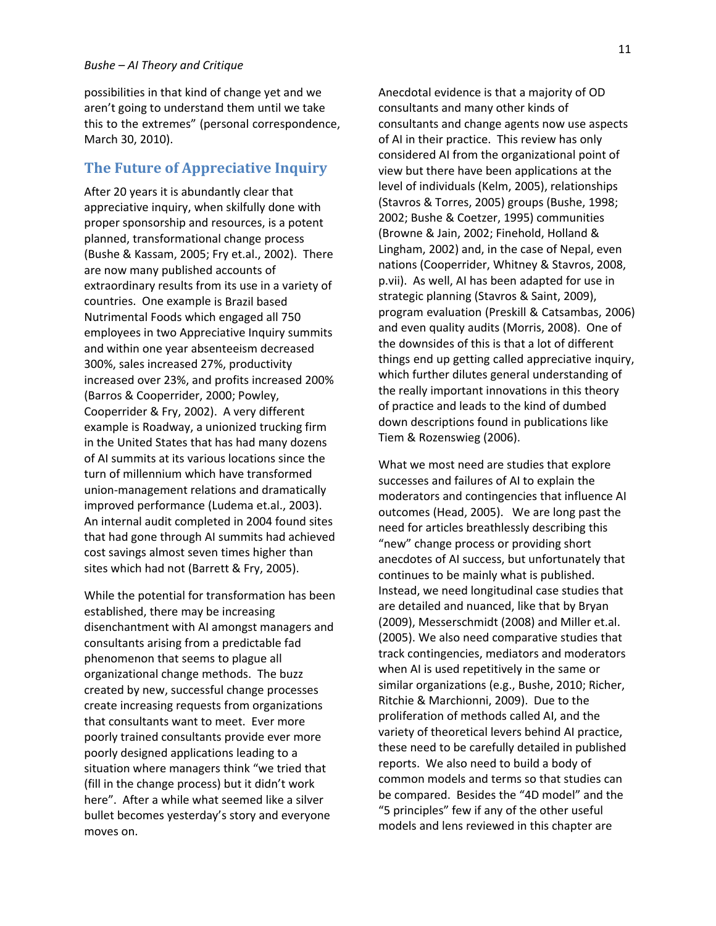possibilities in that kind of change yet and we aren't going to understand them until we take this to the extremes" (personal correspondence, March 30, 2010).

## **The Future of Appreciative Inquiry**

After 20 years it is abundantly clear that appreciative inquiry, when skilfully done with proper sponsorship and resources, is a potent planned, transformational change process (Bushe & Kassam, 2005; Fry et.al., 2002). There are now many published accounts of extraordinary results from its use in a variety of countries. One example is Brazil based Nutrimental Foods which engaged all 750 employees in two Appreciative Inquiry summits and within one year absenteeism decreased 300%, sales increased 27%, productivity increased over 23%, and profits increased 200% (Barros & Cooperrider, 2000; Powley, Cooperrider & Fry, 2002). A very different example is Roadway, a unionized trucking firm in the United States that has had many dozens of AI summits at its various locations since the turn of millennium which have transformed union‐management relations and dramatically improved performance (Ludema et.al., 2003). An internal audit completed in 2004 found sites that had gone through AI summits had achieved cost savings almost seven times higher than sites which had not (Barrett & Fry, 2005).

While the potential for transformation has been established, there may be increasing disenchantment with AI amongst managers and consultants arising from a predictable fad phenomenon that seems to plague all organizational change methods. The buzz created by new, successful change processes create increasing requests from organizations that consultants want to meet. Ever more poorly trained consultants provide ever more poorly designed applications leading to a situation where managers think "we tried that (fill in the change process) but it didn't work here". After a while what seemed like a silver bullet becomes yesterday's story and everyone moves on.

Anecdotal evidence is that a majority of OD consultants and many other kinds of consultants and change agents now use aspects of AI in their practice. This review has only considered AI from the organizational point of view but there have been applications at the level of individuals (Kelm, 2005), relationships (Stavros & Torres, 2005) groups (Bushe, 1998; 2002; Bushe & Coetzer, 1995) communities (Browne & Jain, 2002; Finehold, Holland & Lingham, 2002) and, in the case of Nepal, even nations (Cooperrider, Whitney & Stavros, 2008, p.vii). As well, AI has been adapted for use in strategic planning (Stavros & Saint, 2009), program evaluation (Preskill & Catsambas, 2006) and even quality audits (Morris, 2008). One of the downsides of this is that a lot of different things end up getting called appreciative inquiry, which further dilutes general understanding of the really important innovations in this theory of practice and leads to the kind of dumbed down descriptions found in publications like Tiem & Rozenswieg (2006).

What we most need are studies that explore successes and failures of AI to explain the moderators and contingencies that influence AI outcomes (Head, 2005). We are long past the need for articles breathlessly describing this "new" change process or providing short anecdotes of AI success, but unfortunately that continues to be mainly what is published. Instead, we need longitudinal case studies that are detailed and nuanced, like that by Bryan (2009), Messerschmidt (2008) and Miller et.al. (2005). We also need comparative studies that track contingencies, mediators and moderators when AI is used repetitively in the same or similar organizations (e.g., Bushe, 2010; Richer, Ritchie & Marchionni, 2009). Due to the proliferation of methods called AI, and the variety of theoretical levers behind AI practice, these need to be carefully detailed in published reports. We also need to build a body of common models and terms so that studies can be compared. Besides the "4D model" and the "5 principles" few if any of the other useful models and lens reviewed in this chapter are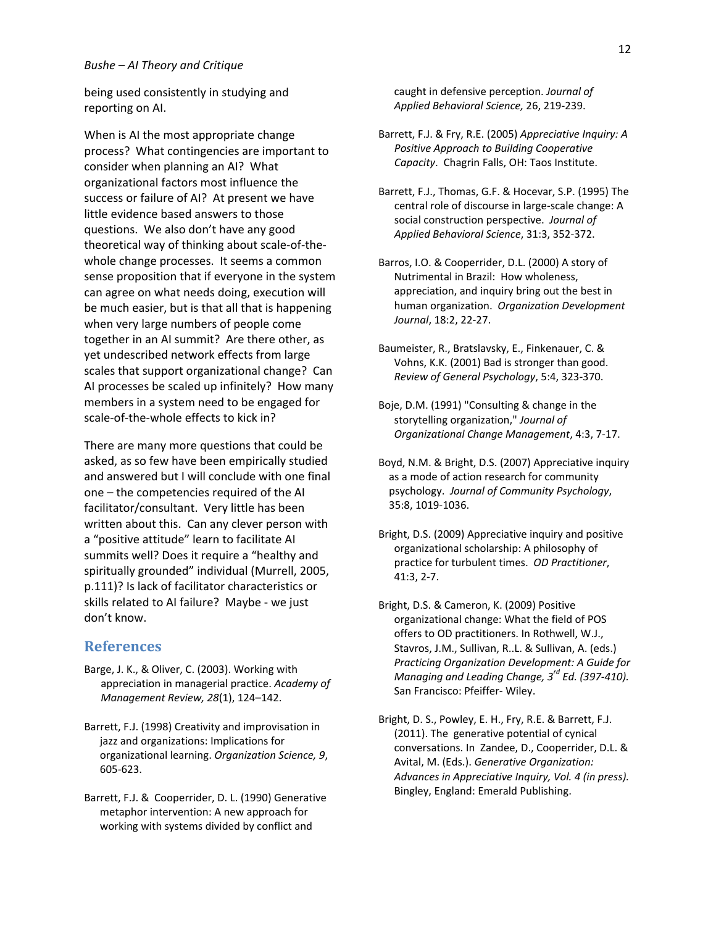being used consistently in studying and reporting on AI.

When is AI the most appropriate change process? What contingencies are important to consider when planning an AI? What organizational factors most influence the success or failure of AI? At present we have little evidence based answers to those questions. We also don't have any good theoretical way of thinking about scale‐of‐the‐ whole change processes. It seems a common sense proposition that if everyone in the system can agree on what needs doing, execution will be much easier, but is that all that is happening when very large numbers of people come together in an AI summit? Are there other, as yet undescribed network effects from large scales that support organizational change? Can AI processes be scaled up infinitely? How many members in a system need to be engaged for scale-of-the-whole effects to kick in?

There are many more questions that could be asked, as so few have been empirically studied and answered but I will conclude with one final one – the competencies required of the AI facilitator/consultant. Very little has been written about this. Can any clever person with a "positive attitude" learn to facilitate AI summits well? Does it require a "healthy and spiritually grounded" individual (Murrell, 2005, p.111)? Is lack of facilitator characteristics or skills related to AI failure? Maybe ‐ we just don't know.

## **References**

- Barge, J. K., & Oliver, C. (2003). Working with appreciation in managerial practice. *Academy of Management Review, 28*(1), 124–142.
- Barrett, F.J. (1998) Creativity and improvisation in jazz and organizations: Implications for organizational learning. *Organization Science, 9*, 605‐623.
- Barrett, F.J. & Cooperrider, D. L. (1990) Generative metaphor intervention: A new approach for working with systems divided by conflict and

caught in defensive perception. *Journal of Applied Behavioral Science,* 26, 219‐239.

- Barrett, F.J. & Fry, R.E. (2005) *Appreciative Inquiry: A Positive Approach to Building Cooperative Capacity*. Chagrin Falls, OH: Taos Institute.
- Barrett, F.J., Thomas, G.F. & Hocevar, S.P. (1995) The central role of discourse in large‐scale change: A social construction perspective. *Journal of Applied Behavioral Science*, 31:3, 352‐372.
- Barros, I.O. & Cooperrider, D.L. (2000) A story of Nutrimental in Brazil: How wholeness, appreciation, and inquiry bring out the best in human organization. *Organization Development Journal*, 18:2, 22‐27.
- Baumeister, R., Bratslavsky, E., Finkenauer, C. & Vohns, K.K. (2001) Bad is stronger than good. *Review of General Psychology*, 5:4, 323‐370.
- Boje, D.M. (1991) "Consulting & change in the storytelling organization," *Journal of Organizational Change Management*, 4:3, 7‐17.
- Boyd, N.M. & Bright, D.S. (2007) Appreciative inquiry as a mode of action research for community psychology. *Journal of Community Psychology*, 35:8, 1019‐1036.
- Bright, D.S. (2009) Appreciative inquiry and positive organizational scholarship: A philosophy of practice for turbulent times. *OD Practitioner*, 41:3, 2‐7.
- Bright, D.S. & Cameron, K. (2009) Positive organizational change: What the field of POS offers to OD practitioners. In Rothwell, W.J., Stavros, J.M., Sullivan, R..L. & Sullivan, A. (eds.) *Practicing Organization Development: A Guide for Managing and Leading Change, 3rd Ed. (397‐410).* San Francisco: Pfeiffer‐ Wiley.
- Bright, D. S., Powley, E. H., Fry, R.E. & Barrett, F.J. (2011). The generative potential of cynical conversations. In Zandee, D., Cooperrider, D.L. & Avital, M. (Eds.). *Generative Organization: Advances in Appreciative Inquiry, Vol. 4 (in press).* Bingley, England: Emerald Publishing.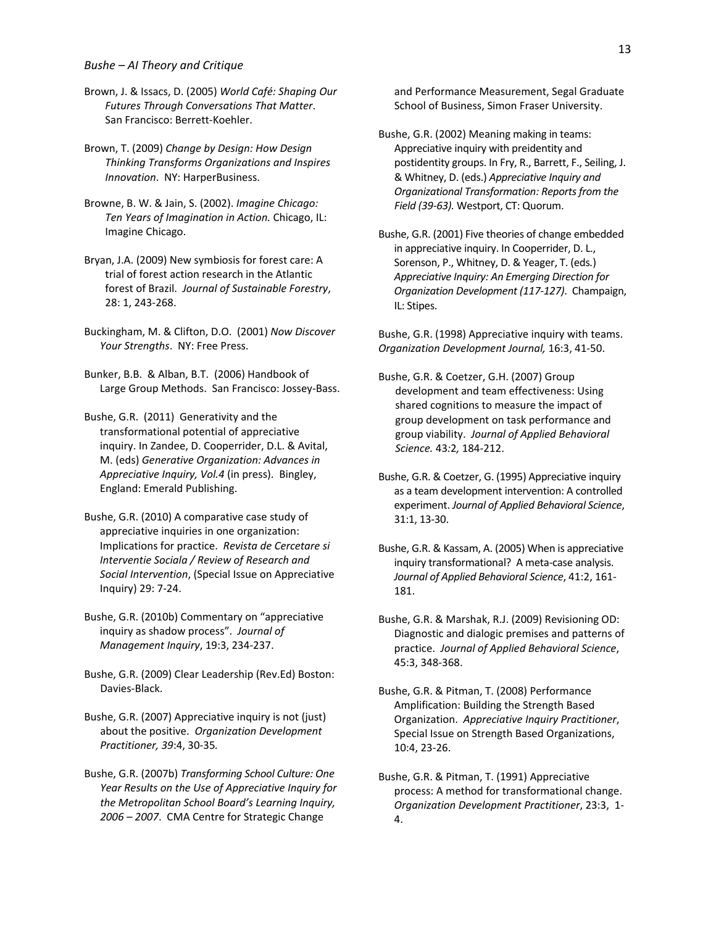- Brown, J. & Issacs, D. (2005) *World Café: Shaping Our Futures Through Conversations That Matter*. San Francisco: Berrett‐Koehler.
- Brown, T. (2009) *Change by Design: How Design Thinking Transforms Organizations and Inspires Innovation*. NY: HarperBusiness.
- Browne, B. W. & Jain, S. (2002). *Imagine Chicago: Ten Years of Imagination in Action.* Chicago, IL: Imagine Chicago.
- Bryan, J.A. (2009) New symbiosis for forest care: A trial of forest action research in the Atlantic forest of Brazil. *Journal of Sustainable Forestry*, 28: 1, 243‐268.
- Buckingham, M. & Clifton, D.O. (2001) *Now Discover Your Strengths*. NY: Free Press.
- Bunker, B.B. & Alban, B.T. (2006) Handbook of Large Group Methods. San Francisco: Jossey‐Bass.
- Bushe, G.R. (2011) Generativity and the transformational potential of appreciative inquiry. In Zandee, D. Cooperrider, D.L. & Avital, M. (eds) *Generative Organization: Advances in Appreciative Inquiry, Vol.4* (in press). Bingley, England: Emerald Publishing.
- Bushe, G.R. (2010) A comparative case study of appreciative inquiries in one organization: Implications for practice. *Revista de Cercetare si Interventie Sociala / Review of Research and Social Intervention*, (Special Issue on Appreciative Inquiry) 29: 7‐24.
- Bushe, G.R. (2010b) Commentary on "appreciative inquiry as shadow process". *Journal of Management Inquiry*, 19:3, 234‐237.
- Bushe, G.R. (2009) Clear Leadership (Rev.Ed) Boston: Davies‐Black.
- Bushe, G.R. (2007) Appreciative inquiry is not (just) about the positive. *Organization Development Practitioner, 39*:4, 30‐35*.*
- Bushe, G.R. (2007b) *Transforming School Culture: One Year Results on the Use of Appreciative Inquiry for the Metropolitan School Board's Learning Inquiry, 2006 – 2007*. CMA Centre for Strategic Change

and Performance Measurement, Segal Graduate School of Business, Simon Fraser University.

- Bushe, G.R. (2002) Meaning making in teams: Appreciative inquiry with preidentity and postidentity groups. In Fry, R., Barrett, F., Seiling, J. & Whitney, D. (eds.) *Appreciative Inquiry and Organizational Transformation: Reportsfrom the Field (39‐63).* Westport, CT: Quorum.
- Bushe, G.R. (2001) Five theories of change embedded in appreciative inquiry. In Cooperrider, D. L., Sorenson, P., Whitney, D. & Yeager, T. (eds*.*) *Appreciative Inquiry: An Emerging Direction for Organization Development (117‐127)*. Champaign, IL: Stipes.

Bushe, G.R. (1998) Appreciative inquiry with teams. *Organization Development Journal,* 16:3, 41‐50.

Bushe, G.R. & Coetzer, G.H. (2007) Group development and team effectiveness: Using shared cognitions to measure the impact of group development on task performance and group viability. *Journal of Applied Behavioral Science.* 43*:*2*,* 184‐212.

- Bushe, G.R. & Coetzer, G. (1995) Appreciative inquiry as a team development intervention: A controlled experiment. *Journal of Applied Behavioral Science*, 31:1, 13‐30.
- Bushe, G.R. & Kassam, A. (2005) When is appreciative inquiry transformational? A meta‐case analysis. *Journal of Applied Behavioral Science*, 41:2, 161‐ 181.
- Bushe, G.R. & Marshak, R.J. (2009) Revisioning OD: Diagnostic and dialogic premises and patterns of practice. *Journal of Applied Behavioral Science*, 45:3, 348‐368.
- Bushe, G.R. & Pitman, T. (2008) Performance Amplification: Building the Strength Based Organization. *Appreciative Inquiry Practitioner*, Special Issue on Strength Based Organizations, 10:4, 23‐26.
- Bushe, G.R. & Pitman, T. (1991) Appreciative process: A method for transformational change. *Organization Development Practitioner*, 23:3, 1‐ 4.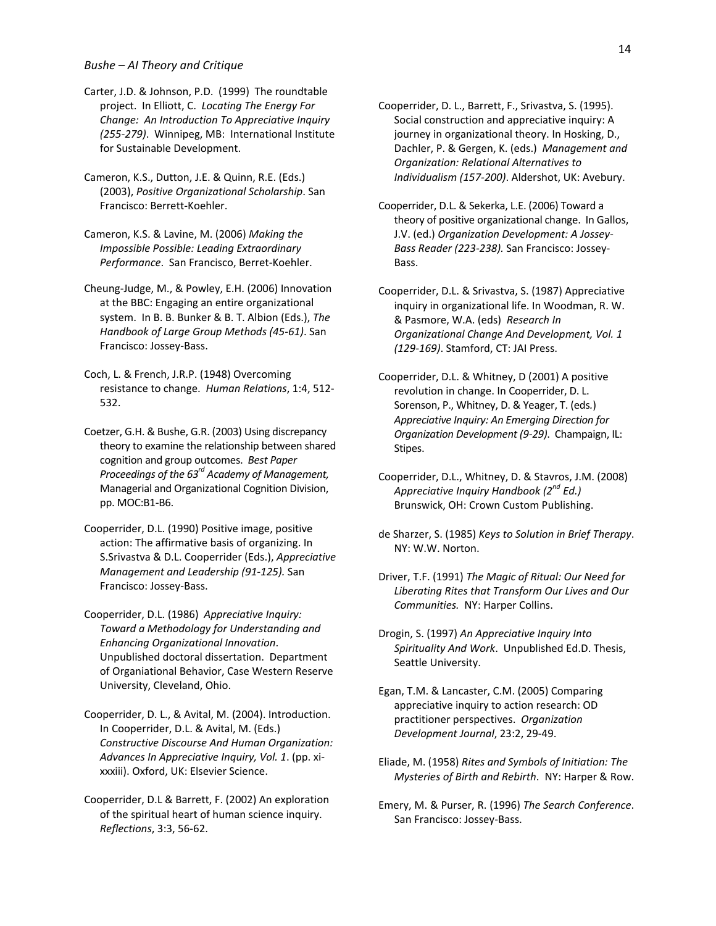- Carter, J.D. & Johnson, P.D. (1999) The roundtable project. In Elliott, C. *Locating The Energy For Change: An Introduction To Appreciative Inquiry (255‐279)*. Winnipeg, MB: International Institute for Sustainable Development.
- Cameron, K.S., Dutton, J.E. & Quinn, R.E. (Eds.) (2003), *Positive Organizational Scholarship*. San Francisco: Berrett‐Koehler.
- Cameron, K.S. & Lavine, M. (2006) *Making the Impossible Possible: Leading Extraordinary Performance*. San Francisco, Berret‐Koehler.
- Cheung‐Judge, M., & Powley, E.H. (2006) Innovation at the BBC: Engaging an entire organizational system. In B. B. Bunker & B. T. Albion (Eds.), *The Handbook of Large Group Methods (45‐61)*. San Francisco: Jossey‐Bass.
- Coch, L. & French, J.R.P. (1948) Overcoming resistance to change. *Human Relations*, 1:4, 512‐ 532.
- Coetzer, G.H. & Bushe, G.R. (2003) Using discrepancy theory to examine the relationship between shared cognition and group outcomes. *Best Paper Proceedings of the 63rd Academy of Management,* Managerial and Organizational Cognition Division, pp. MOC:B1‐B6.
- Cooperrider, D.L. (1990) Positive image, positive action: The affirmative basis of organizing. In S.Srivastva & D.L. Cooperrider (Eds.), *Appreciative Management and Leadership (91‐125).* San Francisco: Jossey‐Bass.
- Cooperrider, D.L. (1986) *Appreciative Inquiry: Toward a Methodology for Understanding and Enhancing Organizational Innovation*. Unpublished doctoral dissertation. Department of Organiational Behavior, Case Western Reserve University, Cleveland, Ohio.
- Cooperrider, D. L., & Avital, M. (2004). Introduction. In Cooperrider, D.L. & Avital, M. (Eds.) *Constructive Discourse And Human Organization: Advances In Appreciative Inquiry, Vol. 1*. (pp. xi‐ xxxiii). Oxford, UK: Elsevier Science.
- Cooperrider, D.L & Barrett, F. (2002) An exploration of the spiritual heart of human science inquiry. *Reflections*, 3:3, 56‐62.
- Cooperrider, D. L., Barrett, F., Srivastva, S. (1995). Social construction and appreciative inquiry: A journey in organizational theory. In Hosking, D., Dachler, P. & Gergen, K. (eds.) *Management and Organization: Relational Alternatives to Individualism (157‐200)*. Aldershot, UK: Avebury.
- Cooperrider, D.L. & Sekerka, L.E. (2006) Toward a theory of positive organizational change. In Gallos, J.V. (ed.) *Organization Development: A Jossey‐ Bass Reader (223‐238).* San Francisco: Jossey‐ Bass.
- Cooperrider, D.L. & Srivastva, S. (1987) Appreciative inquiry in organizational life. In Woodman, R. W. & Pasmore, W.A. (eds) *Research In Organizational Change And Development, Vol. 1 (129‐169)*. Stamford, CT: JAI Press.
- Cooperrider, D.L. & Whitney, D (2001) A positive revolution in change. In Cooperrider, D. L. Sorenson, P., Whitney, D. & Yeager, T. (eds*.*) *Appreciative Inquiry: An Emerging Direction for Organization Development (9‐29)*. Champaign, IL: Stipes.
- Cooperrider, D.L., Whitney, D. & Stavros, J.M. (2008) *Appreciative Inquiry Handbook (2nd Ed.)* Brunswick, OH: Crown Custom Publishing.
- de Sharzer, S. (1985) *Keys to Solution in Brief Therapy*. NY: W.W. Norton.
- Driver, T.F. (1991) *The Magic of Ritual: Our Need for Liberating Rites that Transform Our Lives and Our Communities.* NY: Harper Collins.
- Drogin, S. (1997) *An Appreciative Inquiry Into Spirituality And Work*. Unpublished Ed.D. Thesis, Seattle University.
- Egan, T.M. & Lancaster, C.M. (2005) Comparing appreciative inquiry to action research: OD practitioner perspectives. *Organization Development Journal*, 23:2, 29‐49.
- Eliade, M. (1958) *Rites and Symbols of Initiation: The Mysteries of Birth and Rebirth*. NY: Harper & Row.
- Emery, M. & Purser, R. (1996) *The Search Conference*. San Francisco: Jossey‐Bass.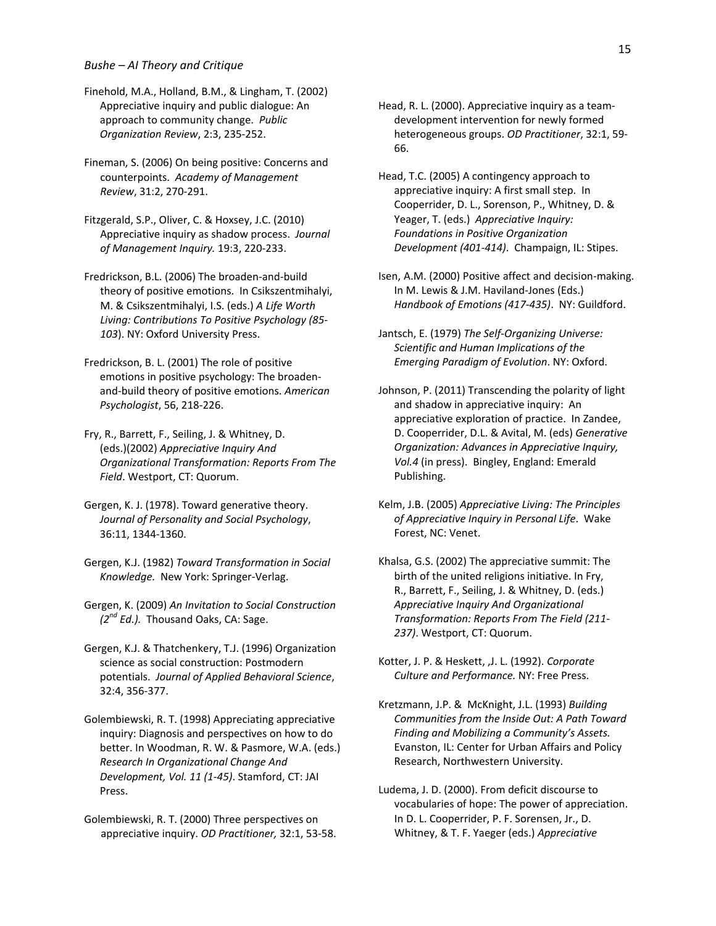Finehold, M.A., Holland, B.M., & Lingham, T. (2002) Appreciative inquiry and public dialogue: An approach to community change. *Public Organization Review*, 2:3, 235‐252.

Fineman, S. (2006) On being positive: Concerns and counterpoints. *Academy of Management Review*, 31:2, 270‐291.

Fitzgerald, S.P., Oliver, C. & Hoxsey, J.C. (2010) Appreciative inquiry as shadow process. *Journal of Management Inquiry.* 19:3, 220‐233.

Fredrickson, B.L. (2006) The broaden‐and‐build theory of positive emotions. In Csikszentmihalyi, M. & Csikszentmihalyi, I.S. (eds.) *A Life Worth Living: Contributions To Positive Psychology (85‐ 103*). NY: Oxford University Press.

Fredrickson, B. L. (2001) The role of positive emotions in positive psychology: The broaden‐ and‐build theory of positive emotions. *American Psychologist*, 56, 218‐226.

Fry, R., Barrett, F., Seiling, J. & Whitney, D. (eds.)(2002) *Appreciative Inquiry And Organizational Transformation: Reports From The Field*. Westport, CT: Quorum.

Gergen, K. J. (1978). Toward generative theory. *Journal of Personality and Social Psychology*, 36:11, 1344‐1360.

Gergen, K.J. (1982) *Toward Transformation in Social Knowledge.* New York: Springer‐Verlag.

Gergen, K. (2009) *An Invitation to Social Construction (2nd Ed.).* Thousand Oaks, CA: Sage.

Gergen, K.J. & Thatchenkery, T.J. (1996) Organization science as social construction: Postmodern potentials. *Journal of Applied Behavioral Science*, 32:4, 356‐377.

Golembiewski, R. T. (1998) Appreciating appreciative inquiry: Diagnosis and perspectives on how to do better. In Woodman, R. W. & Pasmore, W.A. (eds.) *Research In Organizational Change And Development, Vol. 11 (1‐45)*. Stamford, CT: JAI Press.

Golembiewski, R. T. (2000) Three perspectives on appreciative inquiry. *OD Practitioner,* 32:1, 53‐58. Head, R. L. (2000). Appreciative inquiry as a team‐ development intervention for newly formed heterogeneous groups. *OD Practitioner*, 32:1, 59‐ 66.

Head, T.C. (2005) A contingency approach to appreciative inquiry: A first small step. In Cooperrider, D. L., Sorenson, P., Whitney, D. & Yeager, T. (eds.) *Appreciative Inquiry: Foundations in Positive Organization Development (401‐414)*. Champaign, IL: Stipes.

Isen, A.M. (2000) Positive affect and decision‐making. In M. Lewis & J.M. Haviland‐Jones (Eds.) *Handbook of Emotions (417‐435)*. NY: Guildford.

Jantsch, E. (1979) *The Self‐Organizing Universe: Scientific and Human Implications of the Emerging Paradigm of Evolution*. NY: Oxford.

Johnson, P. (2011) Transcending the polarity of light and shadow in appreciative inquiry: An appreciative exploration of practice. In Zandee, D. Cooperrider, D.L. & Avital, M. (eds) *Generative Organization: Advances in Appreciative Inquiry, Vol.4* (in press). Bingley, England: Emerald Publishing.

Kelm, J.B. (2005) *Appreciative Living: The Principles of Appreciative Inquiry in Personal Life*. Wake Forest, NC: Venet.

Khalsa, G.S. (2002) The appreciative summit: The birth of the united religions initiative. In Fry, R., Barrett, F., Seiling, J. & Whitney, D. (eds.) *Appreciative Inquiry And Organizational Transformation: Reports From The Field (211‐ 237)*. Westport, CT: Quorum.

Kotter, J. P. & Heskett, ,J. L. (1992). *Corporate Culture and Performance.* NY: Free Press.

Kretzmann, J.P. & McKnight, J.L. (1993) *Building Communities from the Inside Out: A Path Toward Finding and Mobilizing a Community's Assets.* Evanston, IL: Center for Urban Affairs and Policy Research, Northwestern University.

Ludema, J. D. (2000). From deficit discourse to vocabularies of hope: The power of appreciation. In D. L. Cooperrider, P. F. Sorensen, Jr., D. Whitney, & T. F. Yaeger (eds.) *Appreciative*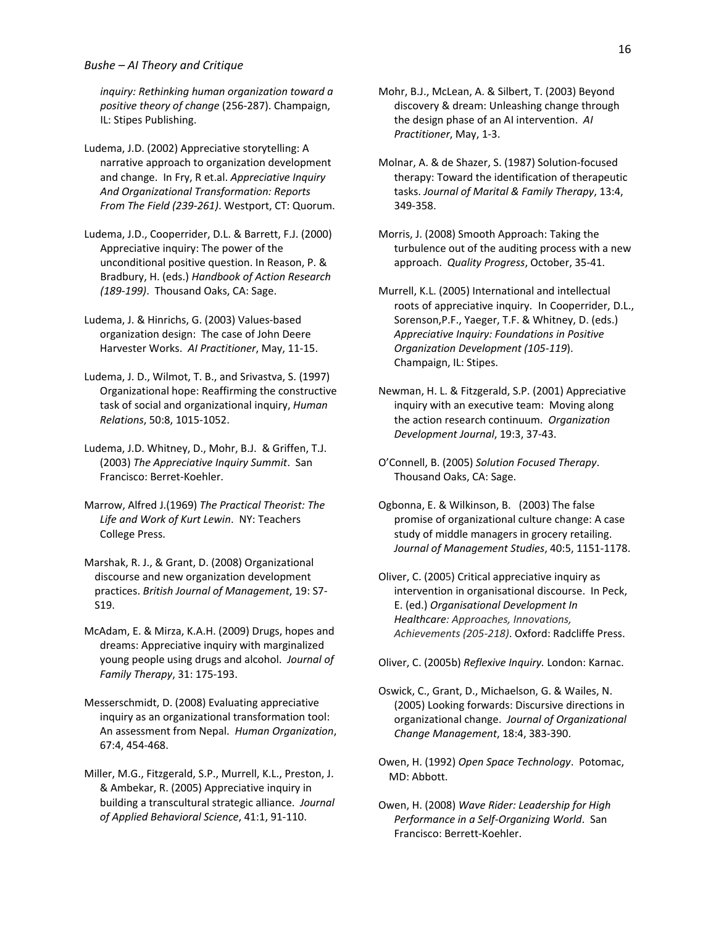*inquiry: Rethinking human organization toward a positive theory of change* (256‐287). Champaign, IL: Stipes Publishing.

Ludema, J.D. (2002) Appreciative storytelling: A narrative approach to organization development and change. In Fry, R et.al. *Appreciative Inquiry And Organizational Transformation: Reports From The Field (239‐261)*. Westport, CT: Quorum.

Ludema, J.D., Cooperrider, D.L. & Barrett, F.J. (2000) Appreciative inquiry: The power of the unconditional positive question. In Reason, P. & Bradbury, H. (eds.) *Handbook of Action Research (189‐199)*. Thousand Oaks, CA: Sage.

Ludema, J. & Hinrichs, G. (2003) Values‐based organization design: The case of John Deere Harvester Works. *AI Practitioner*, May, 11‐15.

Ludema, J. D., Wilmot, T. B., and Srivastva, S. (1997) Organizational hope: Reaffirming the constructive task of social and organizational inquiry, *Human Relations*, 50:8, 1015‐1052.

Ludema, J.D. Whitney, D., Mohr, B.J. & Griffen, T.J. (2003) *The Appreciative Inquiry Summit*. San Francisco: Berret‐Koehler.

Marrow, Alfred J.(1969) *The Practical Theorist: The Life and Work of Kurt Lewin*. NY: Teachers College Press.

Marshak, R. J., & Grant, D. (2008) Organizational discourse and new organization development practices. *British Journal of Management*, 19: S7‐ S19.

McAdam, E. & Mirza, K.A.H. (2009) Drugs, hopes and dreams: Appreciative inquiry with marginalized young people using drugs and alcohol. *Journal of Family Therapy*, 31: 175‐193.

Messerschmidt, D. (2008) Evaluating appreciative inquiry as an organizational transformation tool: An assessment from Nepal. *Human Organization*, 67:4, 454‐468.

Miller, M.G., Fitzgerald, S.P., Murrell, K.L., Preston, J. & Ambekar, R. (2005) Appreciative inquiry in building a transcultural strategic alliance. *Journal of Applied Behavioral Science*, 41:1, 91‐110.

Mohr, B.J., McLean, A. & Silbert, T. (2003) Beyond discovery & dream: Unleashing change through the design phase of an AI intervention. *AI Practitioner*, May, 1‐3.

- Molnar, A. & de Shazer, S. (1987) Solution‐focused therapy: Toward the identification of therapeutic tasks. *Journal of Marital & Family Therapy*, 13:4, 349‐358.
- Morris, J. (2008) Smooth Approach: Taking the turbulence out of the auditing process with a new approach. *Quality Progress*, October, 35‐41.
- Murrell, K.L. (2005) International and intellectual roots of appreciative inquiry. In Cooperrider, D.L., Sorenson,P.F., Yaeger, T.F. & Whitney, D. (eds.) *Appreciative Inquiry: Foundations in Positive Organization Development (105‐119*). Champaign, IL: Stipes.
- Newman, H. L. & Fitzgerald, S.P. (2001) Appreciative inquiry with an executive team: Moving along the action research continuum. *Organization Development Journal*, 19:3, 37‐43.
- O'Connell, B. (2005) *Solution Focused Therapy*. Thousand Oaks, CA: Sage.
- Ogbonna, E. & Wilkinson, B. (2003) The false promise of organizational culture change: A case study of middle managers in grocery retailing. *Journal of Management Studies*, 40:5, 1151‐1178.

Oliver, C. (2005) Critical appreciative inquiry as intervention in organisational discourse. In Peck, E. (ed.) *Organisational Development In Healthcare: Approaches, Innovations, Achievements (205‐218)*. Oxford: Radcliffe Press.

Oliver, C. (2005b) *Reflexive Inquiry.* London: Karnac.

Oswick, C., Grant, D., Michaelson, G. & Wailes, N. (2005) Looking forwards: Discursive directions in organizational change. *Journal of Organizational Change Management*, 18:4, 383‐390.

Owen, H. (1992) *Open Space Technology*. Potomac, MD: Abbott.

Owen, H. (2008) *Wave Rider: Leadership for High Performance in a Self‐Organizing World*. San Francisco: Berrett‐Koehler.